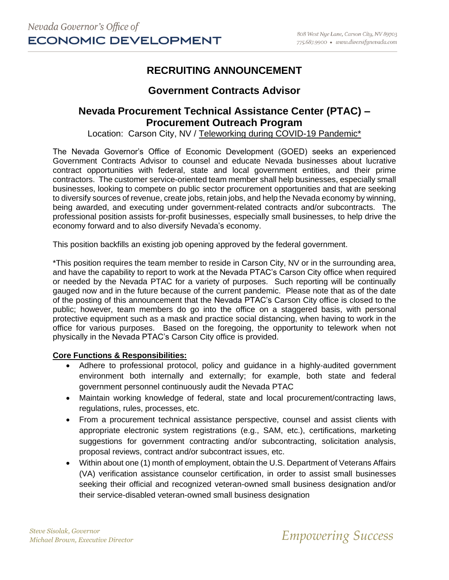# **RECRUITING ANNOUNCEMENT**

## **Government Contracts Advisor**

### **Nevada Procurement Technical Assistance Center (PTAC) – Procurement Outreach Program**

Location: Carson City, NV / Teleworking during COVID-19 Pandemic\*

The Nevada Governor's Office of Economic Development (GOED) seeks an experienced Government Contracts Advisor to counsel and educate Nevada businesses about lucrative contract opportunities with federal, state and local government entities, and their prime contractors. The customer service-oriented team member shall help businesses, especially small businesses, looking to compete on public sector procurement opportunities and that are seeking to diversify sources of revenue, create jobs, retain jobs, and help the Nevada economy by winning, being awarded, and executing under government-related contracts and/or subcontracts. The professional position assists for-profit businesses, especially small businesses, to help drive the economy forward and to also diversify Nevada's economy.

This position backfills an existing job opening approved by the federal government.

\*This position requires the team member to reside in Carson City, NV or in the surrounding area, and have the capability to report to work at the Nevada PTAC's Carson City office when required or needed by the Nevada PTAC for a variety of purposes. Such reporting will be continually gauged now and in the future because of the current pandemic. Please note that as of the date of the posting of this announcement that the Nevada PTAC's Carson City office is closed to the public; however, team members do go into the office on a staggered basis, with personal protective equipment such as a mask and practice social distancing, when having to work in the office for various purposes. Based on the foregoing, the opportunity to telework when not physically in the Nevada PTAC's Carson City office is provided.

#### **Core Functions & Responsibilities:**

- Adhere to professional protocol, policy and guidance in a highly-audited government environment both internally and externally; for example, both state and federal government personnel continuously audit the Nevada PTAC
- Maintain working knowledge of federal, state and local procurement/contracting laws, regulations, rules, processes, etc.
- From a procurement technical assistance perspective, counsel and assist clients with appropriate electronic system registrations (e.g., SAM, etc.), certifications, marketing suggestions for government contracting and/or subcontracting, solicitation analysis, proposal reviews, contract and/or subcontract issues, etc.
- Within about one (1) month of employment, obtain the U.S. Department of Veterans Affairs (VA) verification assistance counselor certification, in order to assist small businesses seeking their official and recognized veteran-owned small business designation and/or their service-disabled veteran-owned small business designation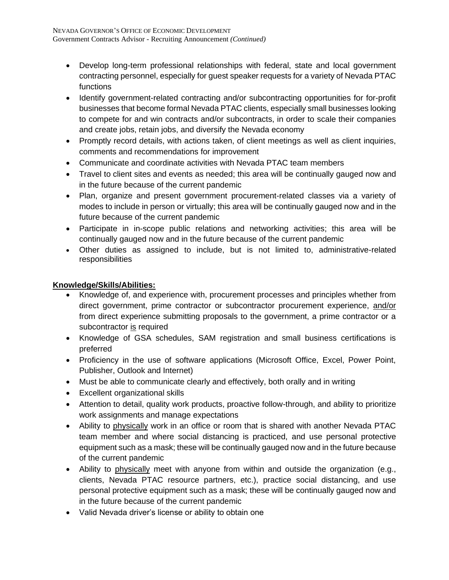- Develop long-term professional relationships with federal, state and local government contracting personnel, especially for guest speaker requests for a variety of Nevada PTAC functions
- Identify government-related contracting and/or subcontracting opportunities for for-profit businesses that become formal Nevada PTAC clients, especially small businesses looking to compete for and win contracts and/or subcontracts, in order to scale their companies and create jobs, retain jobs, and diversify the Nevada economy
- Promptly record details, with actions taken, of client meetings as well as client inquiries, comments and recommendations for improvement
- Communicate and coordinate activities with Nevada PTAC team members
- Travel to client sites and events as needed; this area will be continually gauged now and in the future because of the current pandemic
- Plan, organize and present government procurement-related classes via a variety of modes to include in person or virtually; this area will be continually gauged now and in the future because of the current pandemic
- Participate in in-scope public relations and networking activities; this area will be continually gauged now and in the future because of the current pandemic
- Other duties as assigned to include, but is not limited to, administrative-related responsibilities

### **Knowledge/Skills/Abilities:**

- Knowledge of, and experience with, procurement processes and principles whether from direct government, prime contractor or subcontractor procurement experience, and/or from direct experience submitting proposals to the government, a prime contractor or a subcontractor is required
- Knowledge of GSA schedules, SAM registration and small business certifications is preferred
- Proficiency in the use of software applications (Microsoft Office, Excel, Power Point, Publisher, Outlook and Internet)
- Must be able to communicate clearly and effectively, both orally and in writing
- Excellent organizational skills
- Attention to detail, quality work products, proactive follow-through, and ability to prioritize work assignments and manage expectations
- Ability to physically work in an office or room that is shared with another Nevada PTAC team member and where social distancing is practiced, and use personal protective equipment such as a mask; these will be continually gauged now and in the future because of the current pandemic
- Ability to physically meet with anyone from within and outside the organization (e.g., clients, Nevada PTAC resource partners, etc.), practice social distancing, and use personal protective equipment such as a mask; these will be continually gauged now and in the future because of the current pandemic
- Valid Nevada driver's license or ability to obtain one